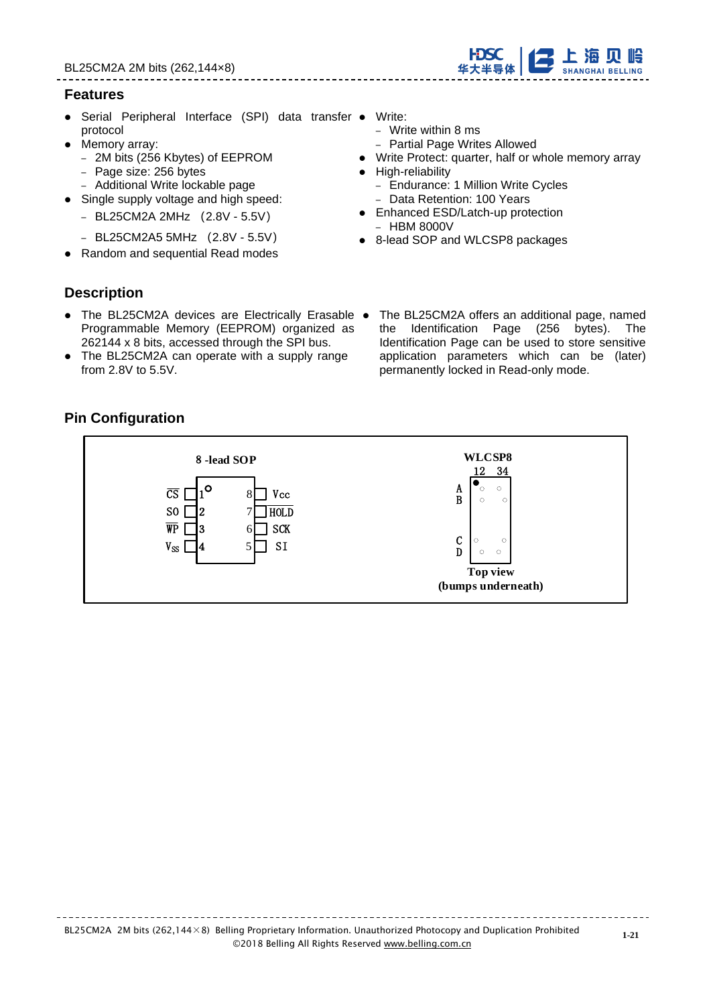## **Features**

- Serial Peripheral Interface (SPI) data transfer Write: protocol
- Memory array:
	- 2M bits (256 Kbytes) of EEPROM
	- Page size: 256 bytes
	- Additional Write lockable page
- Single supply voltage and high speed:
	- BL25CM2A 2MHz (2.8V 5.5V)
	- BL25CM2A5 5MHz (2.8V 5.5V)
- ⚫ Random and sequential Read modes
- - Write within 8 ms
	- Partial Page Writes Allowed
- ⚫ Write Protect: quarter, half or whole memory array
- ⚫ High-reliability
	- Endurance: 1 Million Write Cycles
	- Data Retention: 100 Years
- Enhanced ESD/Latch-up protection – HBM 8000V
- 8-lead SOP and WLCSP8 packages

- **Description**
- The BL25CM2A devices are Electrically Erasable The BL25CM2A offers an additional page, named Programmable Memory (EEPROM) organized as 262144 x 8 bits, accessed through the SPI bus.
- ⚫ The BL25CM2A can operate with a supply range from 2.8V to 5.5V.
- the Identification Page (256 bytes). The Identification Page can be used to store sensitive application parameters which can be (later) permanently locked in Read-only mode.

# **Pin Configuration**



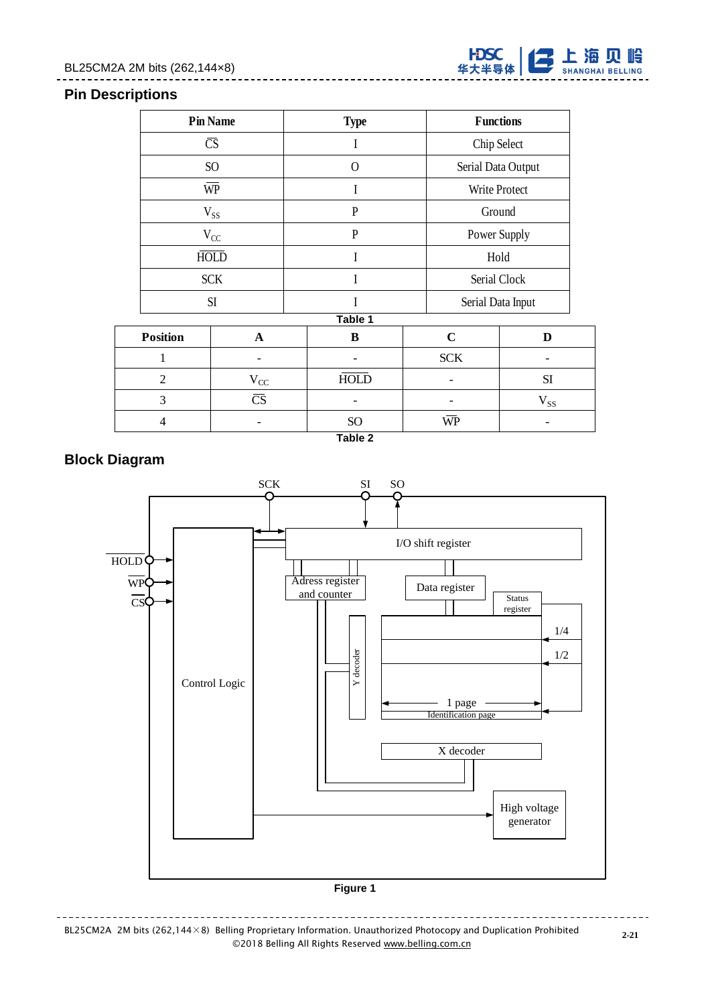# BL25CM2A 2M bits (262,144×8)



## **Pin Descriptions**

|  | <b>Pin Name</b>                           |                        | <b>Type</b>  |             | <b>Functions</b>   |
|--|-------------------------------------------|------------------------|--------------|-------------|--------------------|
|  | $\overline{\text{CS}}$<br>SO <sub>1</sub> |                        | I            |             | Chip Select        |
|  |                                           |                        | $\Omega$     |             | Serial Data Output |
|  |                                           | $\overline{\text{WP}}$ | I            |             | Write Protect      |
|  |                                           | $V_{SS}$               | P            |             | Ground             |
|  |                                           | $V_{CC}$               | $\mathbf{P}$ |             | Power Supply       |
|  |                                           | <b>HOLD</b>            | $\rm I$      |             | Hold               |
|  |                                           | <b>SCK</b>             | I            |             | Serial Clock       |
|  |                                           | SI                     |              |             | Serial Data Input  |
|  |                                           |                        | Table 1      |             |                    |
|  | <b>Position</b>                           | $\mathbf A$            | B            | $\mathbf C$ | D                  |
|  | $\mathbf{1}$                              |                        |              | <b>SCK</b>  |                    |
|  | $\overline{2}$                            | $V_{CC}$               | <b>HOLD</b>  |             | SI                 |
|  | 3                                         | $\overline{\text{CS}}$ |              |             | $V_{SS}$           |
|  | 4                                         |                        | <b>SO</b>    | WP          |                    |



# **Block Diagram**



BL25CM2A 2M bits (262,144×8) Belling Proprietary Information. Unauthorized Photocopy and Duplication Prohibited ©2018 Belling All Rights Reserve[d www.belling.com.cn](http://www.belling.com.cn/)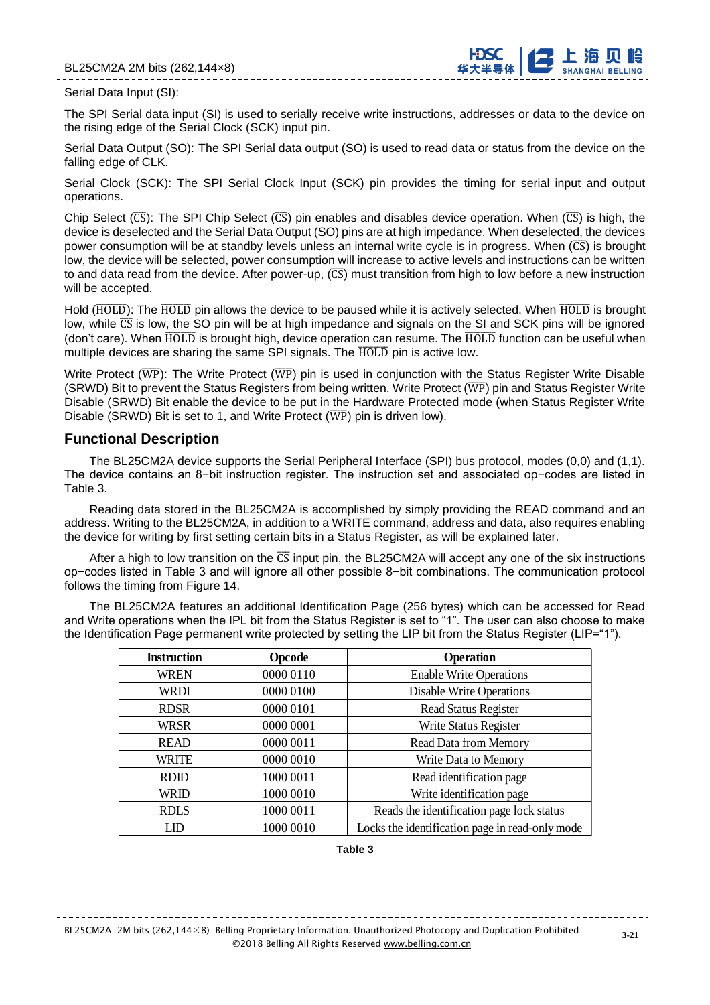

#### Serial Data Input (SI):

The SPI Serial data input (SI) is used to serially receive write instructions, addresses or data to the device on the rising edge of the Serial Clock (SCK) input pin.

Serial Data Output (SO): The SPI Serial data output (SO) is used to read data or status from the device on the falling edge of CLK.

Serial Clock (SCK): The SPI Serial Clock Input (SCK) pin provides the timing for serial input and output operations.

Chip Select ( $\overline{CS}$ ): The SPI Chip Select ( $\overline{CS}$ ) pin enables and disables device operation. When ( $\overline{CS}$ ) is high, the device is deselected and the Serial Data Output (SO) pins are at high impedance. When deselected, the devices power consumption will be at standby levels unless an internal write cycle is in progress. When  $(\overline{CS})$  is brought low, the device will be selected, power consumption will increase to active levels and instructions can be written to and data read from the device. After power-up,  $(\overline{CS})$  must transition from high to low before a new instruction will be accepted.

Hold (HOLD): The HOLD pin allows the device to be paused while it is actively selected. When HOLD is brought low, while  $\overline{CS}$  is low, the SO pin will be at high impedance and signals on the SI and SCK pins will be ignored (don't care). When  $\overline{HOLD}$  is brought high, device operation can resume. The  $\overline{HOLD}$  function can be useful when multiple devices are sharing the same SPI signals. The  $\overline{HOLD}$  pin is active low.

Write Protect ( $\overline{WP}$ ): The Write Protect ( $\overline{WP}$ ) pin is used in conjunction with the Status Register Write Disable (SRWD) Bit to prevent the Status Registers from being written. Write Protect ( $\overline{WP}$ ) pin and Status Register Write Disable (SRWD) Bit enable the device to be put in the Hardware Protected mode (when Status Register Write Disable (SRWD) Bit is set to 1, and Write Protect  $(\overline{WP})$  pin is driven low).

#### **Functional Description**

The BL25CM2A device supports the Serial Peripheral Interface (SPI) bus protocol, modes (0,0) and (1,1). The device contains an 8−bit instruction register. The instruction set and associated op−codes are listed in Table 3.

Reading data stored in the BL25CM2A is accomplished by simply providing the READ command and an address. Writing to the BL25CM2A, in addition to a WRITE command, address and data, also requires enabling the device for writing by first setting certain bits in a Status Register, as will be explained later.

After a high to low transition on the  $\overline{CS}$  input pin, the BL25CM2A will accept any one of the six instructions op−codes listed in Table 3 and will ignore all other possible 8−bit combinations. The communication protocol follows the timing from Figure 14.

The BL25CM2A features an additional Identification Page (256 bytes) which can be accessed for Read and Write operations when the IPL bit from the Status Register is set to "1". The user can also choose to make the Identification Page permanent write protected by setting the LIP bit from the Status Register (LIP="1").

| <b>Instruction</b> | Opcode    | <b>Operation</b>                                |  |
|--------------------|-----------|-------------------------------------------------|--|
| <b>WREN</b>        | 0000 0110 | <b>Enable Write Operations</b>                  |  |
| <b>WRDI</b>        | 0000 0100 | <b>Disable Write Operations</b>                 |  |
| <b>RDSR</b>        | 0000 0101 | <b>Read Status Register</b>                     |  |
| <b>WRSR</b>        | 0000 0001 | Write Status Register                           |  |
| <b>READ</b>        | 0000 0011 | <b>Read Data from Memory</b>                    |  |
| <b>WRITE</b>       | 0000 0010 | Write Data to Memory                            |  |
| <b>RDID</b>        | 1000 0011 | Read identification page                        |  |
| WRID               | 1000 0010 | Write identification page                       |  |
| <b>RDLS</b>        | 1000 0011 | Reads the identification page lock status       |  |
| LID                | 1000 0010 | Locks the identification page in read-only mode |  |

#### **Table 3**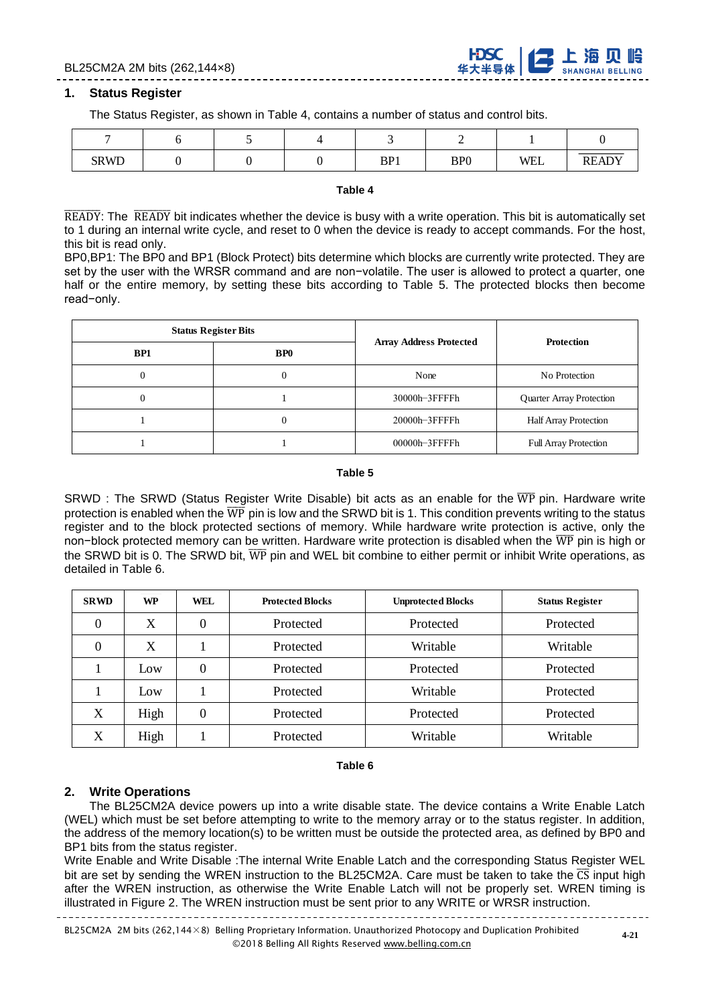

#### **1. Status Register**

The Status Register, as shown in Table 4, contains a number of status and control bits.

| <b>SRWD</b> |  | BP1 | BP <sub>0</sub> | <b>WEL</b> | <b>READY</b> |
|-------------|--|-----|-----------------|------------|--------------|

#### **Table 4**

 $\overline{\text{READY}}$ : The  $\overline{\text{READY}}$  bit indicates whether the device is busy with a write operation. This bit is automatically set to 1 during an internal write cycle, and reset to 0 when the device is ready to accept commands. For the host, this bit is read only.

BP0,BP1: The BP0 and BP1 (Block Protect) bits determine which blocks are currently write protected. They are set by the user with the WRSR command and are non−volatile. The user is allowed to protect a quarter, one half or the entire memory, by setting these bits according to Table 5. The protected blocks then become read−only.

|     | <b>Status Register Bits</b> |                                | <b>Protection</b>               |  |
|-----|-----------------------------|--------------------------------|---------------------------------|--|
| BP1 | <b>BPO</b>                  | <b>Array Address Protected</b> |                                 |  |
|     | U                           | None                           | No Protection                   |  |
|     |                             | 30000h-3FFFFh                  | <b>Quarter Array Protection</b> |  |
|     | U                           | $20000h - 3$ FFFFh             | <b>Half Array Protection</b>    |  |
|     |                             | $00000h - 3$ FFFFh             | <b>Full Array Protection</b>    |  |

#### **Table 5**

SRWD : The SRWD (Status Register Write Disable) bit acts as an enable for the  $\overline{WP}$  pin. Hardware write protection is enabled when the  $\overline{WP}$  pin is low and the SRWD bit is 1. This condition prevents writing to the status register and to the block protected sections of memory. While hardware write protection is active, only the non−block protected memory can be written. Hardware write protection is disabled when the WP pin is high or the SRWD bit is 0. The SRWD bit,  $\overline{\text{WP}}$  pin and WEL bit combine to either permit or inhibit Write operations, as detailed in Table 6.

| <b>SRWD</b> | WP   | WEL      | <b>Protected Blocks</b> | <b>Unprotected Blocks</b> | <b>Status Register</b> |
|-------------|------|----------|-------------------------|---------------------------|------------------------|
| 0           | X    | 0        | Protected               | Protected                 | Protected              |
| 0           | X    |          | Protected               | Writable                  | Writable               |
|             | Low  | $\theta$ | Protected               | Protected                 | Protected              |
|             | Low  |          | Protected               | Writable                  | Protected              |
| X           | High | $\theta$ | Protected               | Protected                 | Protected              |
| X           | High |          | Protected               | Writable                  | Writable               |

## **Table 6**

# **2. Write Operations**

The BL25CM2A device powers up into a write disable state. The device contains a Write Enable Latch (WEL) which must be set before attempting to write to the memory array or to the status register. In addition, the address of the memory location(s) to be written must be outside the protected area, as defined by BP0 and BP1 bits from the status register.

Write Enable and Write Disable :The internal Write Enable Latch and the corresponding Status Register WEL bit are set by sending the WREN instruction to the BL25CM2A. Care must be taken to take the  $\overline{CS}$  input high after the WREN instruction, as otherwise the Write Enable Latch will not be properly set. WREN timing is illustrated in Figure 2. The WREN instruction must be sent prior to any WRITE or WRSR instruction.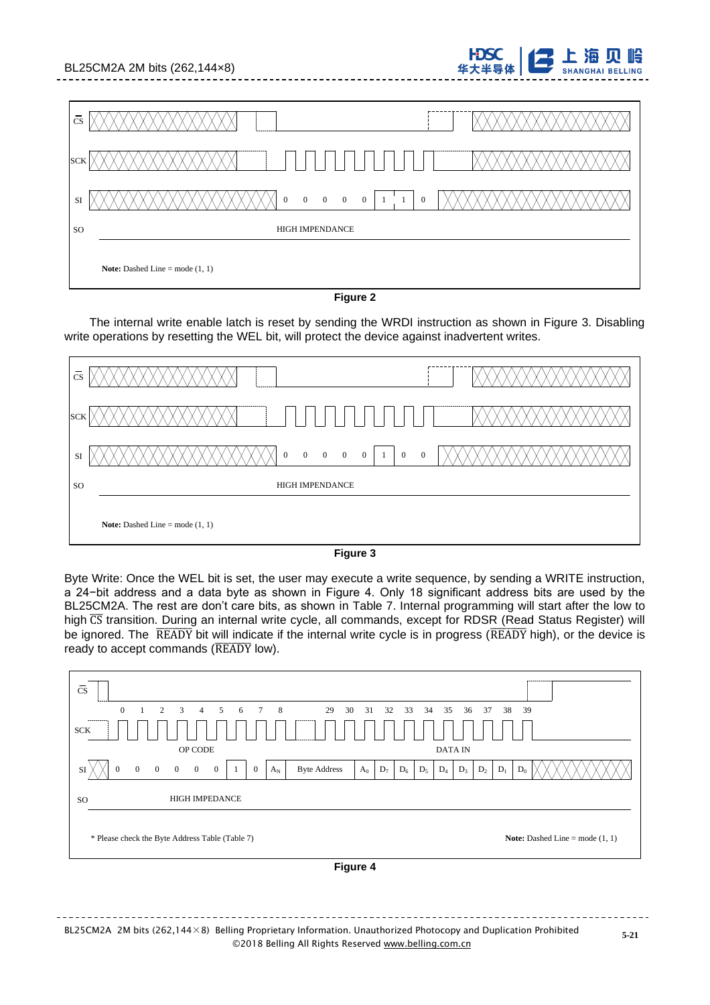| BL25CM2A 2M bits (262,144×8)                                                                                                 | 华大半导体<br>ᆂᄁᄥᅐᄣ<br><b>SHANGHAI BELLING</b> |
|------------------------------------------------------------------------------------------------------------------------------|-------------------------------------------|
|                                                                                                                              |                                           |
| $\overline{\text{cs}}$                                                                                                       |                                           |
| <b>SCK</b>                                                                                                                   |                                           |
| $\overline{0}$<br>$\overline{0}$<br>$\overline{0}$<br>$\overline{0}$<br>$\mathbf{0}$<br>$\mathbf{0}$<br>$\overline{1}$<br>SI |                                           |
| HIGH IMPENDANCE<br><b>SO</b>                                                                                                 |                                           |
| <b>Note:</b> Dashed Line = mode $(1, 1)$                                                                                     |                                           |

FDSC 1 古上海贝岭

## **Figure 2**

The internal write enable latch is reset by sending the WRDI instruction as shown in Figure 3. Disabling write operations by resetting the WEL bit, will protect the device against inadvertent writes.

| $\overline{\text{cs}}$ |                                                                                                                       |
|------------------------|-----------------------------------------------------------------------------------------------------------------------|
| <b>SCK</b>             | -------------<br>                                                                                                     |
| SI                     | $0\qquad 0$<br>$\overline{0}$<br>$\overline{0}$<br>$\overline{0}$<br>$\mathbf{0}$<br>$\overline{0}$<br>$\overline{1}$ |
| <sub>so</sub>          | <b>HIGH IMPENDANCE</b>                                                                                                |
|                        | <b>Note:</b> Dashed Line = mode $(1, 1)$                                                                              |

**Figure 3**

Byte Write: Once the WEL bit is set, the user may execute a write sequence, by sending a WRITE instruction, a 24−bit address and a data byte as shown in Figure 4. Only 18 significant address bits are used by the BL25CM2A. The rest are don't care bits, as shown in Table 7. Internal programming will start after the low to high CS transition. During an internal write cycle, all commands, except for RDSR (Read Status Register) will be ignored. The READY bit will indicate if the internal write cycle is in progress (READY high), or the device is ready to accept commands ( $\overline{\text{READV}}$  low).

| $\overline{\text{cs}}$                                                                                                           |                                                                               |
|----------------------------------------------------------------------------------------------------------------------------------|-------------------------------------------------------------------------------|
| $\mathbf{0}$<br>$\sim$ 8<br>29<br>2<br>3<br>$\overline{4}$<br>5<br>$7\phantom{.0}$<br>6                                          | 30<br>33<br>34<br>35<br>36<br>37<br>38<br>39<br>31<br>32                      |
| -----------<br>--------<br><b>SCK</b>                                                                                            |                                                                               |
| OP CODE                                                                                                                          | <b>DATA IN</b>                                                                |
| $\theta$<br><b>Byte Address</b><br>$\theta$<br>$\theta$<br>$\overline{0}$<br>$\theta$<br>$\mathbf{0}$<br>$A_N$<br>$\theta$<br>SI | $D_7$<br>$D_6$<br>$D_5$<br>$D_4$<br>$D_2$<br>$D_0$<br>$D_1$<br>$A_0$<br>$D_3$ |
| <b>HIGH IMPEDANCE</b><br><b>SO</b>                                                                                               |                                                                               |
| * Please check the Byte Address Table (Table 7)                                                                                  | <b>Note:</b> Dashed Line = mode $(1, 1)$                                      |
|                                                                                                                                  | Figure 4                                                                      |

BL25CM2A 2M bits (262,144×8) Belling Proprietary Information. Unauthorized Photocopy and Duplication Prohibited ©2018 Belling All Rights Reserve[d www.belling.com.cn](http://www.belling.com.cn/)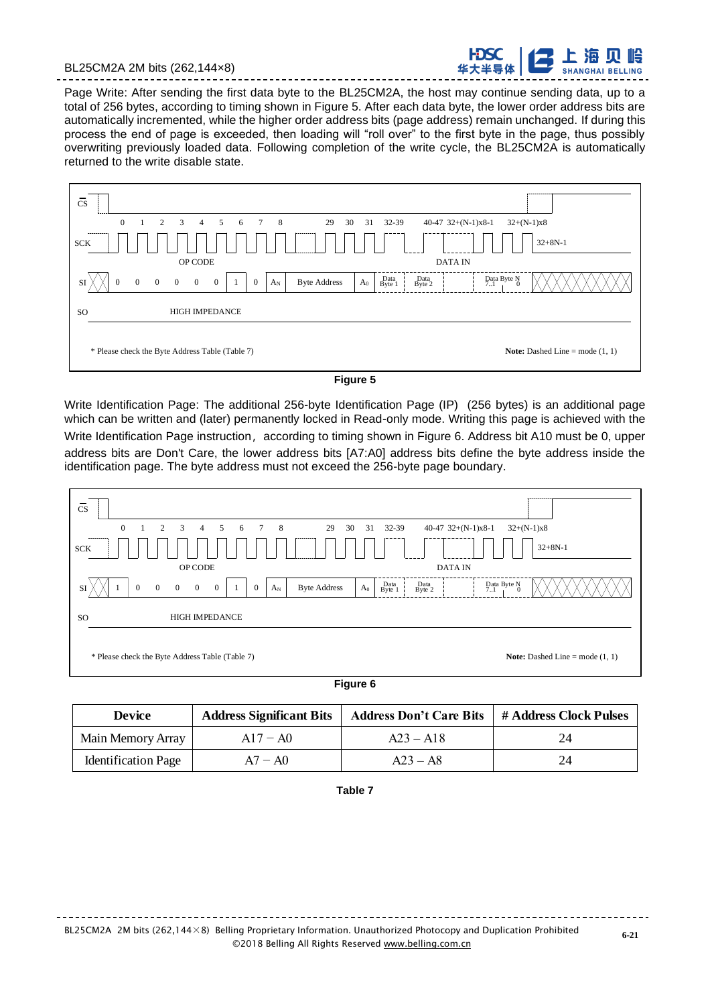



Page Write: After sending the first data byte to the BL25CM2A, the host may continue sending data, up to a total of 256 bytes, according to timing shown in Figure 5. After each data byte, the lower order address bits are automatically incremented, while the higher order address bits (page address) remain unchanged. If during this process the end of page is exceeded, then loading will "roll over" to the first byte in the page, thus possibly overwriting previously loaded data. Following completion of the write cycle, the BL25CM2A is automatically returned to the write disable state.



**Figure 5**

Write Identification Page: The additional 256-byte Identification Page (IP) (256 bytes) is an additional page which can be written and (later) permanently locked in Read-only mode. Writing this page is achieved with the Write Identification Page instruction, according to timing shown in Figure 6. Address bit A10 must be 0, upper address bits are Don't Care, the lower address bits [A7:A0] address bits define the byte address inside the identification page. The byte address must not exceed the 256-byte page boundary.



**Figure 6**

| <b>Device</b>              | <b>Address Significant Bits</b> | <b>Address Don't Care Bits</b> | # Address Clock Pulses |
|----------------------------|---------------------------------|--------------------------------|------------------------|
| Main Memory Array          | $A17 - A0$                      | $A23 - A18$                    |                        |
| <b>Identification Page</b> | $A7 - A0$                       | $A23 - A8$                     |                        |

**Table 7**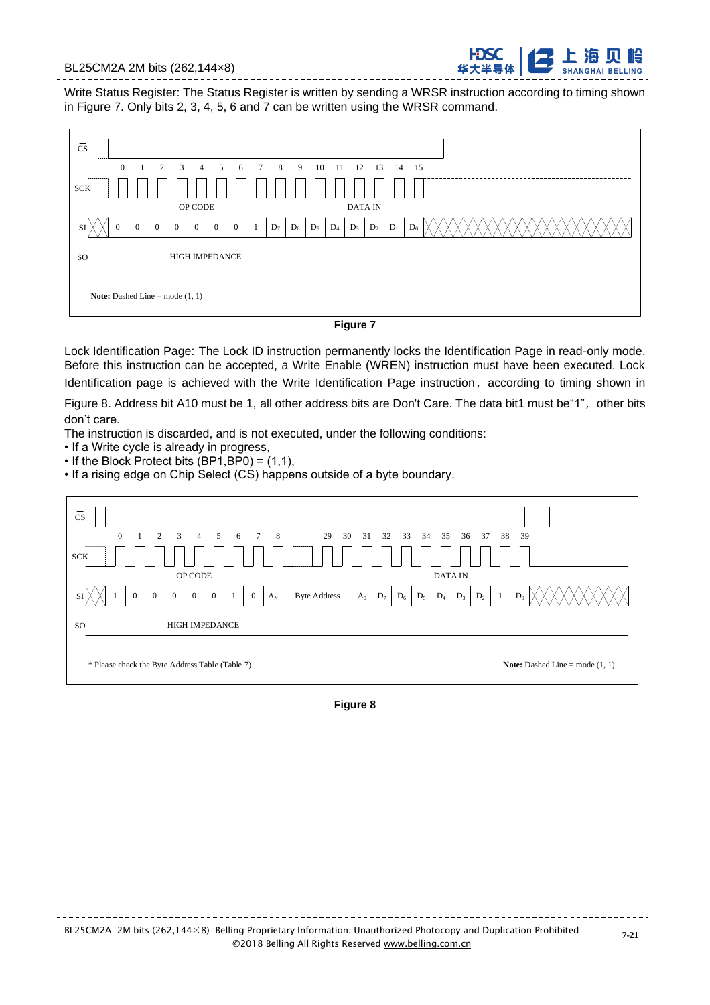#### BL25CM2A 2M bits (262,144×8)

Write Status Register: The Status Register is written by sending a WRSR instruction according to timing shown in Figure 7. Only bits 2, 3, 4, 5, 6 and 7 can be written using the WRSR command.



#### **Figure 7**

Lock Identification Page: The Lock ID instruction permanently locks the Identification Page in read-only mode. Before this instruction can be accepted, a Write Enable (WREN) instruction must have been executed. Lock Identification page is achieved with the Write Identification Page instruction, according to timing shown in

Figure 8. Address bit A10 must be 1, all other address bits are Don't Care. The data bit1 must be"1", other bits don't care.

The instruction is discarded, and is not executed, under the following conditions:

- If a Write cycle is already in progress,
- If the Block Protect bits (BP1,BP0) = (1,1),

• If a rising edge on Chip Select (CS) happens outside of a byte boundary.



**Figure 8**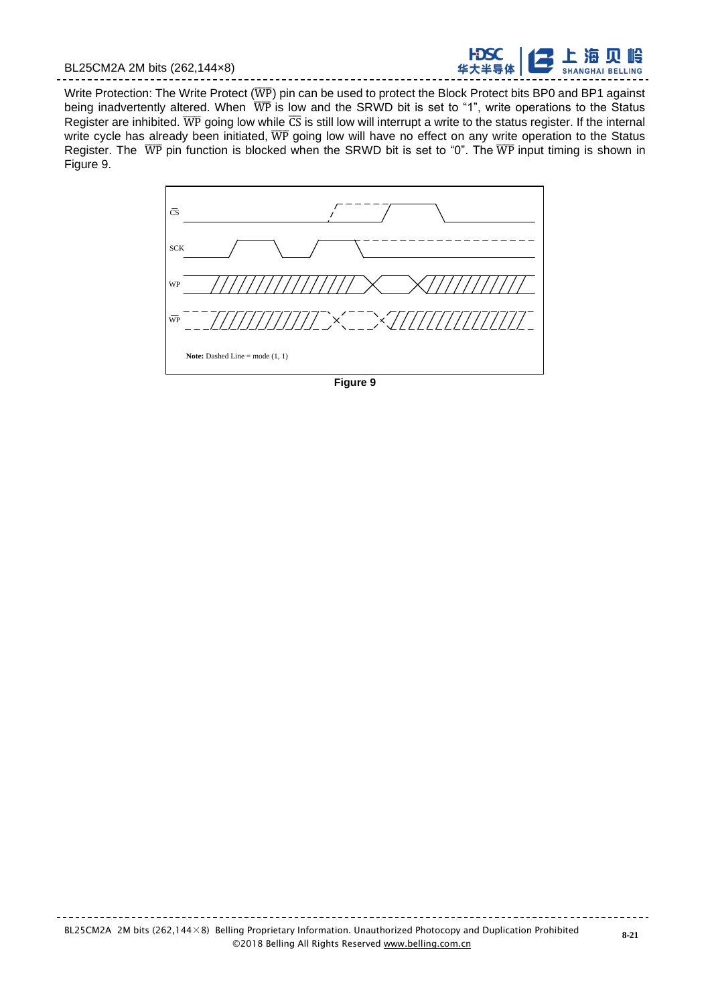

Write Protection: The Write Protect ( $\overline{WP}$ ) pin can be used to protect the Block Protect bits BP0 and BP1 against being inadvertently altered. When  $\overline{\text{WP}}$  is low and the SRWD bit is set to "1", write operations to the Status Register are inhibited.  $\overline{WP}$  going low while  $\overline{CS}$  is still low will interrupt a write to the status register. If the internal write cycle has already been initiated,  $\overline{WP}$  going low will have no effect on any write operation to the Status Register. The  $\overline{WP}$  pin function is blocked when the SRWD bit is set to "0". The  $\overline{WP}$  input timing is shown in Figure 9.

------------



**Figure 9**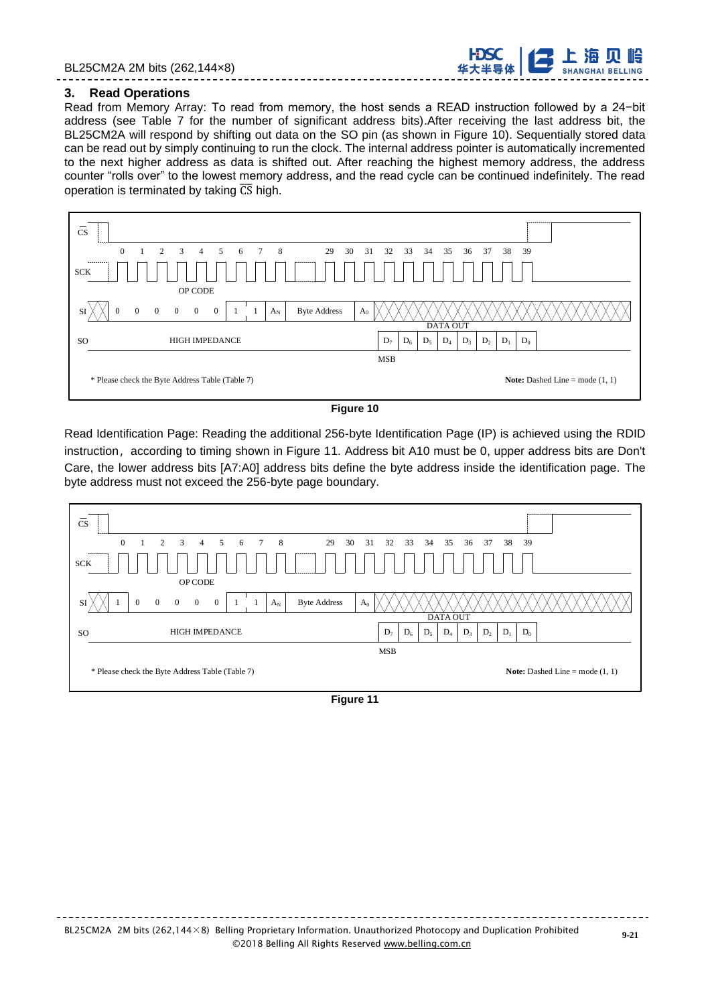

#### **3. Read Operations**

Read from Memory Array: To read from memory, the host sends a READ instruction followed by a 24−bit address (see Table 7 for the number of significant address bits).After receiving the last address bit, the BL25CM2A will respond by shifting out data on the SO pin (as shown in Figure 10). Sequentially stored data can be read out by simply continuing to run the clock. The internal address pointer is automatically incremented to the next higher address as data is shifted out. After reaching the highest memory address, the address counter "rolls over" to the lowest memory address, and the read cycle can be continued indefinitely. The read operation is terminated by taking  $\overline{CS}$  high.

| <b>CS</b>                                                                                                                | ---------                                                            |
|--------------------------------------------------------------------------------------------------------------------------|----------------------------------------------------------------------|
| $\overline{0}$<br>3<br>8 <sup>8</sup><br>2<br>5 <sup>5</sup><br>$\overline{4}$<br>6<br>$7\overline{ }$                   | 29<br>30<br>31<br>32<br>33<br>34<br>35<br>36<br>37<br>39<br>38       |
| ----------<br><b>SCK</b>                                                                                                 |                                                                      |
| OP CODE                                                                                                                  |                                                                      |
| $\overline{0}$<br>$\overline{0}$<br>$\overline{0}$<br>$\theta$<br>$\overline{0}$<br>$\overline{0}$<br>$A_N$<br><b>SI</b> | <b>Byte Address</b><br>A <sub>0</sub>                                |
|                                                                                                                          | <b>DATA OUT</b>                                                      |
| <b>HIGH IMPEDANCE</b><br>SO <sub>1</sub>                                                                                 | $D_6$<br>$D_5$<br>$D_3$<br>$D_1$<br>$D_0$<br>$D_7$<br>$D_4$<br>$D_2$ |
|                                                                                                                          | <b>MSB</b>                                                           |
| * Please check the Byte Address Table (Table 7)                                                                          | <b>Note:</b> Dashed Line = mode $(1, 1)$                             |

#### **Figure 10**

Read Identification Page: Reading the additional 256-byte Identification Page (IP) is achieved using the RDID instruction, according to timing shown in Figure 11. Address bit A10 must be 0, upper address bits are Don't Care, the lower address bits [A7:A0] address bits define the byte address inside the identification page. The byte address must not exceed the 256-byte page boundary.

| instruction,according to timing snown in Figure TT. Address bit ATU must be 0, upper address bits are Don<br>Care, the lower address bits [A7:A0] address bits define the byte address inside the identification page. Th<br>byte address must not exceed the 256-byte page boundary. |                                          |
|---------------------------------------------------------------------------------------------------------------------------------------------------------------------------------------------------------------------------------------------------------------------------------------|------------------------------------------|
|                                                                                                                                                                                                                                                                                       |                                          |
| <b>CS</b>                                                                                                                                                                                                                                                                             |                                          |
| $\Omega$<br>3<br>8<br>2<br>5<br>29<br>30<br>33<br>34<br>38<br>4<br>31<br>32<br>35<br>36<br>37<br>6                                                                                                                                                                                    | 39                                       |
| <b>SCK</b>                                                                                                                                                                                                                                                                            |                                          |
| <b>OP CODE</b>                                                                                                                                                                                                                                                                        |                                          |
| $\overline{0}$<br>$A_N$<br><b>Byte Address</b><br>$\Omega$<br>$\Omega$<br>$\Omega$<br>$\Omega$<br>$A_0$<br>SI                                                                                                                                                                         |                                          |
| <b>DATA OUT</b>                                                                                                                                                                                                                                                                       |                                          |
| <b>HIGH IMPEDANCE</b><br>$D_6$<br>$D_7$<br>$D_5$<br>$D_4$<br>$D_3$<br>$D_1$<br>$D_2$<br>SO                                                                                                                                                                                            | $D_0$                                    |
| <b>MSB</b>                                                                                                                                                                                                                                                                            |                                          |
| * Please check the Byte Address Table (Table 7)                                                                                                                                                                                                                                       | <b>Note:</b> Dashed Line = mode $(1, 1)$ |

**Figure 11**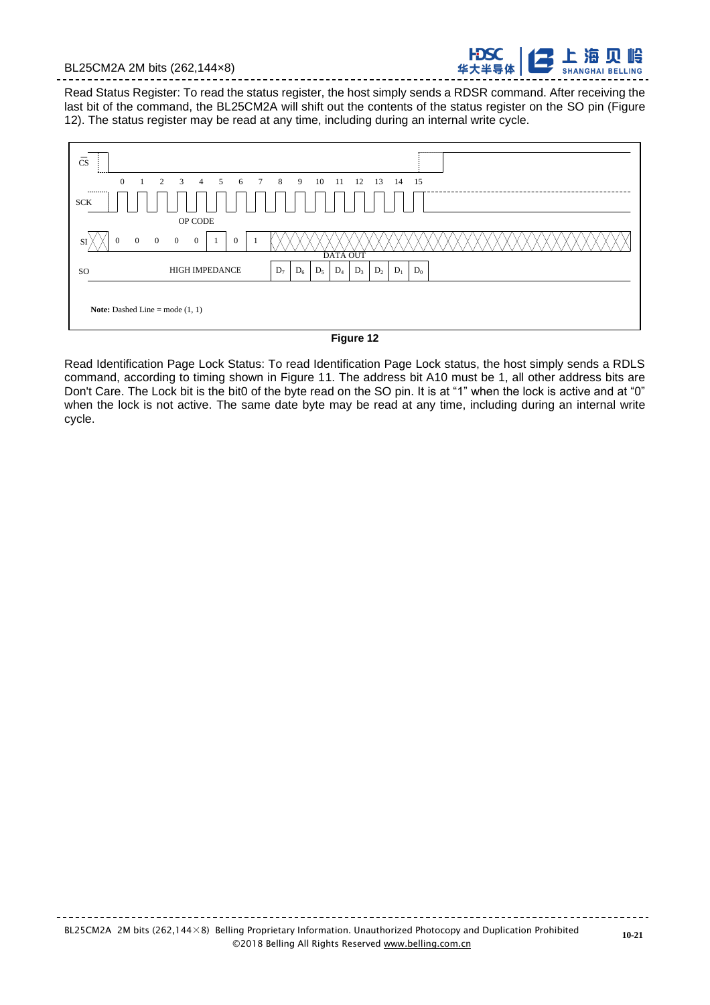**SHANGHAI BELLING** 

Read Status Register: To read the status register, the host simply sends a RDSR command. After receiving the last bit of the command, the BL25CM2A will shift out the contents of the status register on the SO pin (Figure 12). The status register may be read at any time, including during an internal write cycle.



**Figure 12**

Read Identification Page Lock Status: To read Identification Page Lock status, the host simply sends a RDLS command, according to timing shown in Figure 11. The address bit A10 must be 1, all other address bits are Don't Care. The Lock bit is the bit0 of the byte read on the SO pin. It is at "1" when the lock is active and at "0" when the lock is not active. The same date byte may be read at any time, including during an internal write cycle.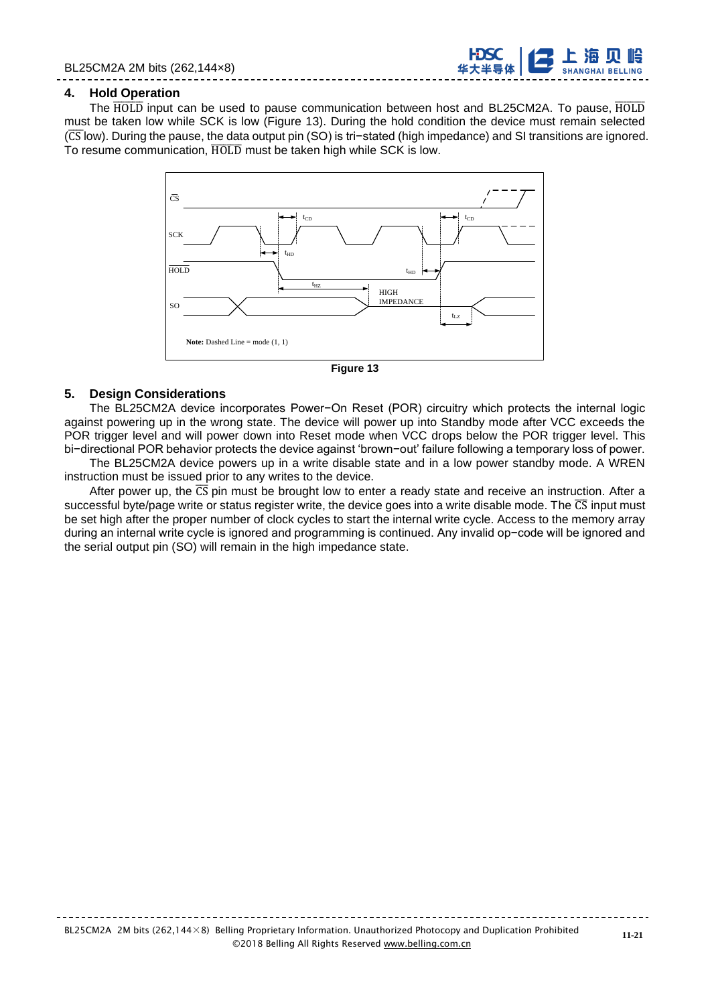

#### **4. Hold Operation**

The HOLD input can be used to pause communication between host and BL25CM2A. To pause, HOLD must be taken low while SCK is low (Figure 13). During the hold condition the device must remain selected (CSIow). During the pause, the data output pin (SO) is tri−stated (high impedance) and SI transitions are ignored. To resume communication, HOLD must be taken high while SCK is low.



**Figure 13**

#### **5. Design Considerations**

The BL25CM2A device incorporates Power−On Reset (POR) circuitry which protects the internal logic against powering up in the wrong state. The device will power up into Standby mode after VCC exceeds the POR trigger level and will power down into Reset mode when VCC drops below the POR trigger level. This bi−directional POR behavior protects the device against 'brown−out' failure following a temporary loss of power. The BL25CM2A device powers up in a write disable state and in a low power standby mode. A WREN

instruction must be issued prior to any writes to the device.

After power up, the  $\overline{CS}$  pin must be brought low to enter a ready state and receive an instruction. After a successful byte/page write or status register write, the device goes into a write disable mode. The  $\overline{CS}$  input must be set high after the proper number of clock cycles to start the internal write cycle. Access to the memory array during an internal write cycle is ignored and programming is continued. Any invalid op−code will be ignored and the serial output pin (SO) will remain in the high impedance state.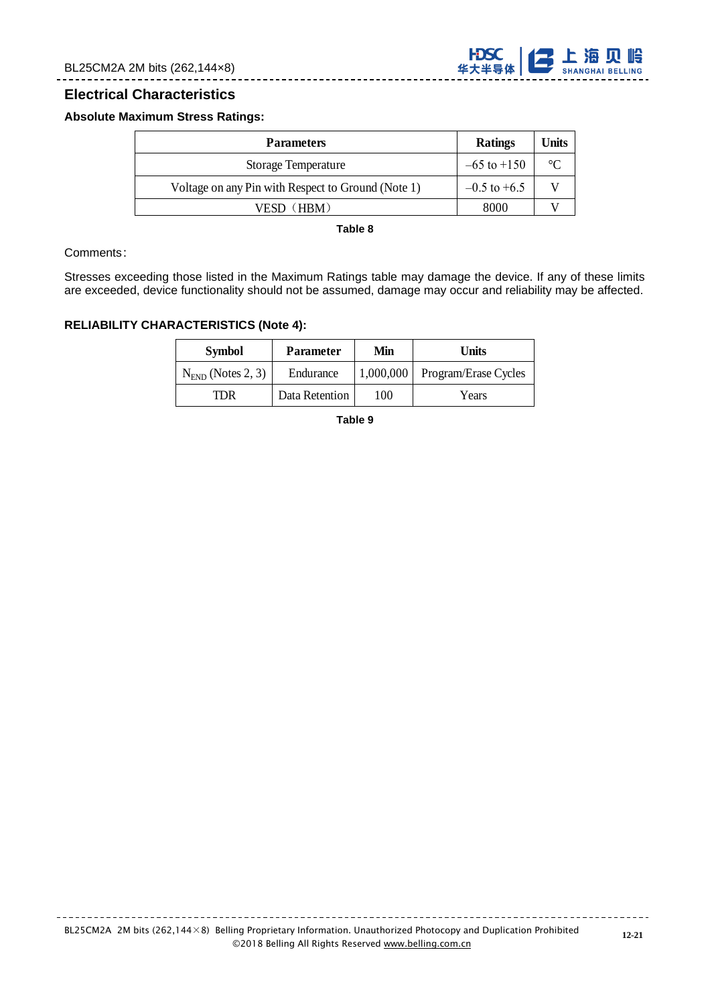

## **Electrical Characteristics**

#### **Absolute Maximum Stress Ratings:**

| <b>Parameters</b>                                  | Ratings         | Units       |
|----------------------------------------------------|-----------------|-------------|
| <b>Storage Temperature</b>                         | $-65$ to $+150$ | $^{\circ}C$ |
| Voltage on any Pin with Respect to Ground (Note 1) | $-0.5$ to +6.5  |             |
| VESD (HRM)                                         | 8000            |             |

**Table 8**

#### Comments:

Stresses exceeding those listed in the Maximum Ratings table may damage the device. If any of these limits are exceeded, device functionality should not be assumed, damage may occur and reliability may be affected.

#### **RELIABILITY CHARACTERISTICS (Note 4):**

| <b>Symbol</b>       | <b>Parameter</b> | Min       | Units                |
|---------------------|------------------|-----------|----------------------|
| $NFND$ (Notes 2, 3) | Endurance        | 1,000,000 | Program/Erase Cycles |
| TDR                 | Data Retention   | 100       | Years                |

**Table 9**

. . . . . . . . . . . .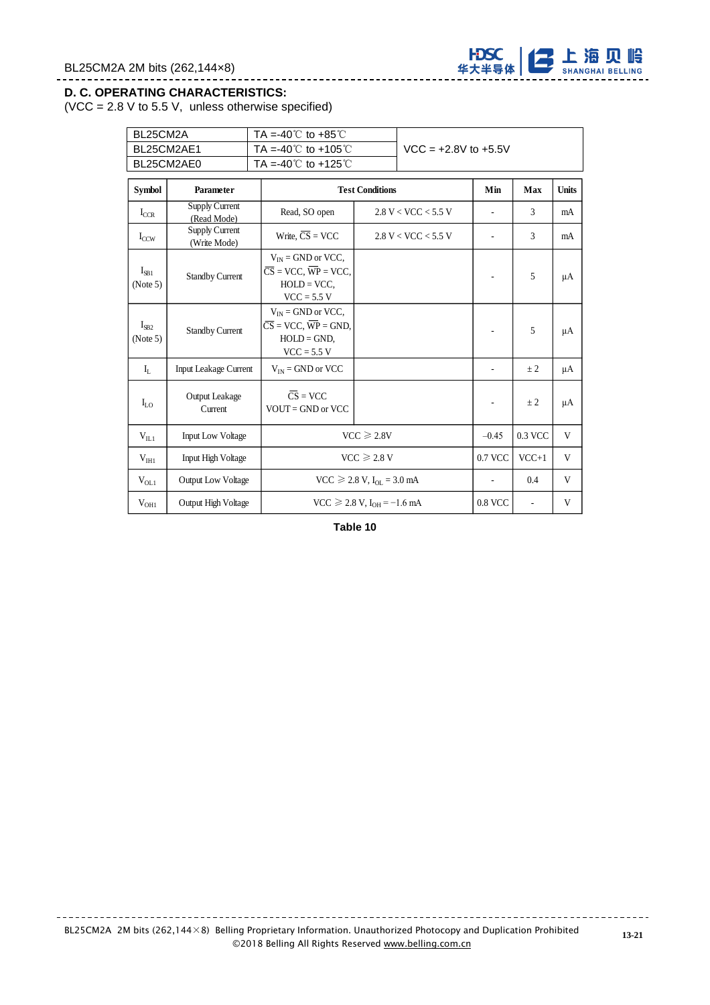

#### **D. C. OPERATING CHARACTERISTICS:**

 $(VCC = 2.8 V to 5.5 V, unless otherwise specified)$ 

| BL25CM2A              |                                                         | TA =-40 $\degree$ C to +85 $\degree$ C                                                                     |                                      |                     |                          |                          |              |
|-----------------------|---------------------------------------------------------|------------------------------------------------------------------------------------------------------------|--------------------------------------|---------------------|--------------------------|--------------------------|--------------|
|                       | BL25CM2AE1<br>TA =-40 $^{\circ}$ C to +105 $^{\circ}$ C |                                                                                                            | $VCC = +2.8V$ to $+5.5V$             |                     |                          |                          |              |
|                       | BL25CM2AE0                                              | TA =-40 $\degree$ to +125 $\degree$ C                                                                      |                                      |                     |                          |                          |              |
| <b>Symbol</b>         | Parameter                                               |                                                                                                            | <b>Test Conditions</b>               |                     | Min                      | Max                      | <b>Units</b> |
| $I_{CCR}$             | Supply Current<br>(Read Mode)                           | Read, SO open                                                                                              |                                      | 2.8 V < VCC < 5.5 V | $\overline{\phantom{a}}$ | 3                        | mA           |
| $I_{CCW}$             | <b>Supply Current</b><br>(Write Mode)                   | Write, $\overline{CS}$ = VCC                                                                               |                                      | 2.8 V < VCC < 5.5 V | ä,                       | 3                        | mA           |
| $I_{SB1}$<br>(Note 5) | <b>Standby Current</b>                                  | $V_{IN}$ = GND or VCC,<br>$\overline{CS}$ = VCC, $\overline{WP}$ = VCC,<br>$HOLD = VCC$ ,<br>$VCC = 5.5 V$ |                                      |                     |                          | 5                        | μA           |
| $I_{SB2}$<br>(Note 5) | <b>Standby Current</b>                                  | $V_{IN}$ = GND or VCC,<br>$\overline{CS}$ = VCC, $\overline{WP}$ = GND,<br>$HOLD = GND$ ,<br>$VCC = 5.5 V$ |                                      |                     |                          | 5                        | $\mu A$      |
| $\mathbf{I}_{\rm L}$  | Input Leakage Current                                   | $V_{IN}$ = GND or VCC                                                                                      |                                      |                     |                          | ± 2                      | μA           |
| $I_{LO}$              | Output Leakage<br>Current                               | $\overline{CS}$ = VCC<br>$VOUT = GND$ or $VCC$                                                             |                                      |                     | ÷,                       | $\pm 2$                  | μA           |
| $V_{II,1}$            | Input Low Voltage                                       |                                                                                                            | $VCC \ge 2.8V$                       |                     |                          | 0.3 VCC                  | V            |
| V <sub>HH1</sub>      | <b>Input High Voltage</b>                               |                                                                                                            | $VCC \ge 2.8 V$                      |                     | 0.7 VCC                  | $VCC+1$                  | V            |
| $V_{OL1}$             | <b>Output Low Voltage</b>                               |                                                                                                            | $VCC \ge 2.8 V, I_{OL} = 3.0 mA$     |                     | $\overline{\phantom{a}}$ | 0.4                      | V            |
| $V_{OH1}$             | Output High Voltage                                     |                                                                                                            | $VCC \ge 2.8 V$ , $I_{OH} = -1.6 mA$ |                     | 0.8 VCC                  | $\overline{\phantom{a}}$ | V            |

\_\_\_\_\_\_\_\_\_\_\_\_\_\_\_\_\_\_\_\_\_\_\_\_\_\_

**Table 10**

<u> - - - - - - - - - - -</u>

<u> - - - - - - - - - - -</u>

----------------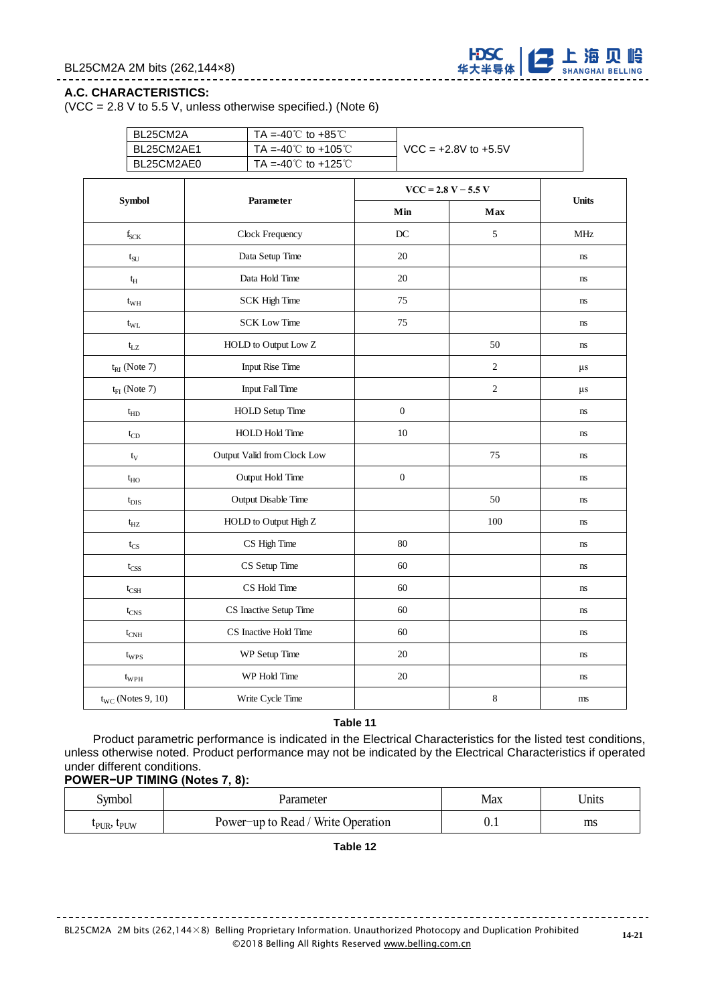

#### **A.C. CHARACTERISTICS:**

(VCC = 2.8 V to 5.5 V, unless otherwise specified.) (Note 6)

\_\_\_\_\_\_\_\_\_\_\_\_\_\_\_\_\_

|  | BL25CM2A<br>TA =-40 $^{\circ}$ C to +85 $^{\circ}$ C<br>TA =-40 $^{\circ}$ C to +105 $^{\circ}$ C<br>BL25CM2AE1 |                                           |                  | $VCC = +2.8V$ to $+5.5V$ |                        |  |
|--|-----------------------------------------------------------------------------------------------------------------|-------------------------------------------|------------------|--------------------------|------------------------|--|
|  |                                                                                                                 |                                           |                  |                          |                        |  |
|  | BL25CM2AE0                                                                                                      | TA =-40 $^{\circ}$ C to +125 $^{\circ}$ C |                  |                          |                        |  |
|  |                                                                                                                 |                                           |                  | $VCC = 2.8 V - 5.5 V$    |                        |  |
|  | Symbol                                                                                                          | Parameter                                 | Min              | Max                      | <b>Units</b>           |  |
|  | $f_{SCK}$                                                                                                       | Clock Frequency                           | DC               | 5                        | <b>MHz</b>             |  |
|  | $t_{\rm SU}$                                                                                                    | Data Setup Time                           | 20               |                          | ns                     |  |
|  | $t_{\rm H}$                                                                                                     | Data Hold Time                            | 20               |                          | ns                     |  |
|  | $t_{WH}$                                                                                                        | <b>SCK High Time</b>                      | 75               |                          | ns                     |  |
|  | $t_{\rm WL}$                                                                                                    | <b>SCK Low Time</b>                       | 75               |                          | ns                     |  |
|  | $t_{LZ}$                                                                                                        | HOLD to Output Low Z                      |                  | 50                       | ns                     |  |
|  | $t_{RI}$ (Note 7)                                                                                               | <b>Input Rise Time</b>                    |                  | $\overline{c}$           | $\mu s$                |  |
|  | $t_{FI}$ (Note 7)                                                                                               | <b>Input Fall Time</b>                    |                  | $\overline{2}$           | $\mu s$                |  |
|  | $t_{HD}$                                                                                                        | <b>HOLD Setup Time</b>                    | $\boldsymbol{0}$ |                          | ns                     |  |
|  | $t_{CD}$                                                                                                        | <b>HOLD Hold Time</b>                     | $10\,$           |                          | ns                     |  |
|  | $t_V$                                                                                                           | Output Valid from Clock Low               |                  | 75                       | ns                     |  |
|  | $t_{HO}$                                                                                                        | Output Hold Time                          | $\boldsymbol{0}$ |                          | $\mathbf{n}\mathbf{s}$ |  |
|  | $t_{\rm DIS}$                                                                                                   | Output Disable Time                       |                  | 50                       | ns                     |  |
|  | $t_{HZ}$                                                                                                        | HOLD to Output High Z                     |                  | 100                      | ns                     |  |
|  | $t_{CS}$                                                                                                        | CS High Time                              | 80               |                          | $\mathbf{n}\mathbf{s}$ |  |
|  | $t_{\mbox{\scriptsize CSS}}$                                                                                    | CS Setup Time                             | 60               |                          | ns                     |  |
|  | $t_{\text{CSH}}$                                                                                                | CS Hold Time                              | 60               |                          | ns                     |  |
|  | $t_{CNS}$                                                                                                       | CS Inactive Setup Time                    | 60               |                          | ns                     |  |
|  | $t_{CNH}$                                                                                                       | CS Inactive Hold Time                     | 60               |                          | ns                     |  |
|  | twps                                                                                                            | WP Setup Time                             | 20               |                          | ns                     |  |
|  | $t_{WPH}$                                                                                                       | WP Hold Time                              | $20\,$           |                          | $\mathbf{n}\mathbf{s}$ |  |
|  | $t_{WC}$ (Notes 9, 10)                                                                                          | Write Cycle Time                          |                  | $\,8\,$                  | $\rm ms$               |  |

**Table 11**

Product parametric performance is indicated in the Electrical Characteristics for the listed test conditions, unless otherwise noted. Product performance may not be indicated by the Electrical Characteristics if operated under different conditions.

#### **POWER−UP TIMING (Notes 7, 8):**

| Symbol                              | Parameter                          | Max | Units |
|-------------------------------------|------------------------------------|-----|-------|
| $L_{\text{PUR}}$ , $L_{\text{PUW}}$ | Power-up to Read / Write Operation | V.1 | ms    |

**Table 12**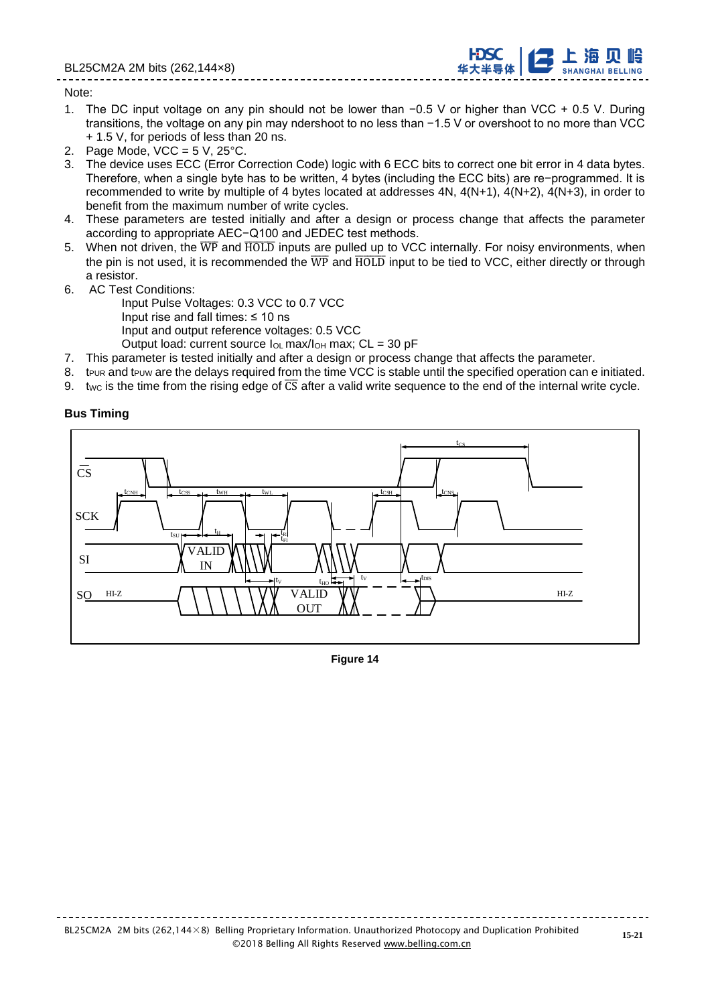

#### Note:

- 1. The DC input voltage on any pin should not be lower than −0.5 V or higher than VCC + 0.5 V. During transitions, the voltage on any pin may ndershoot to no less than −1.5 V or overshoot to no more than VCC + 1.5 V, for periods of less than 20 ns.
- 2. Page Mode,  $VCC = 5 V$ ,  $25°C$ .
- 3. The device uses ECC (Error Correction Code) logic with 6 ECC bits to correct one bit error in 4 data bytes. Therefore, when a single byte has to be written, 4 bytes (including the ECC bits) are re−programmed. It is recommended to write by multiple of 4 bytes located at addresses 4N, 4(N+1), 4(N+2), 4(N+3), in order to benefit from the maximum number of write cycles.
- 4. These parameters are tested initially and after a design or process change that affects the parameter according to appropriate AEC−Q100 and JEDEC test methods.
- 5. When not driven, the  $\overline{WP}$  and  $\overline{HOLD}$  inputs are pulled up to VCC internally. For noisy environments, when the pin is not used, it is recommended the  $\overline{WP}$  and  $\overline{HOLD}$  input to be tied to VCC, either directly or through a resistor.
- 6. AC Test Conditions:
	- Input Pulse Voltages: 0.3 VCC to 0.7 VCC Input rise and fall times:  $\leq 10$  ns Input and output reference voltages: 0.5 VCC
	- Output load: current source  $I_{OL}$  max/ $I_{OH}$  max;  $CL = 30$  pF
- 7. This parameter is tested initially and after a design or process change that affects the parameter.
- 8. t<sub>PUR</sub> and t<sub>PUW</sub> are the delays required from the time VCC is stable until the specified operation can e initiated.
- 9. two is the time from the rising edge of  $\overline{CS}$  after a valid write sequence to the end of the internal write cycle.
- 

## **Bus Timing**



**Figure 14**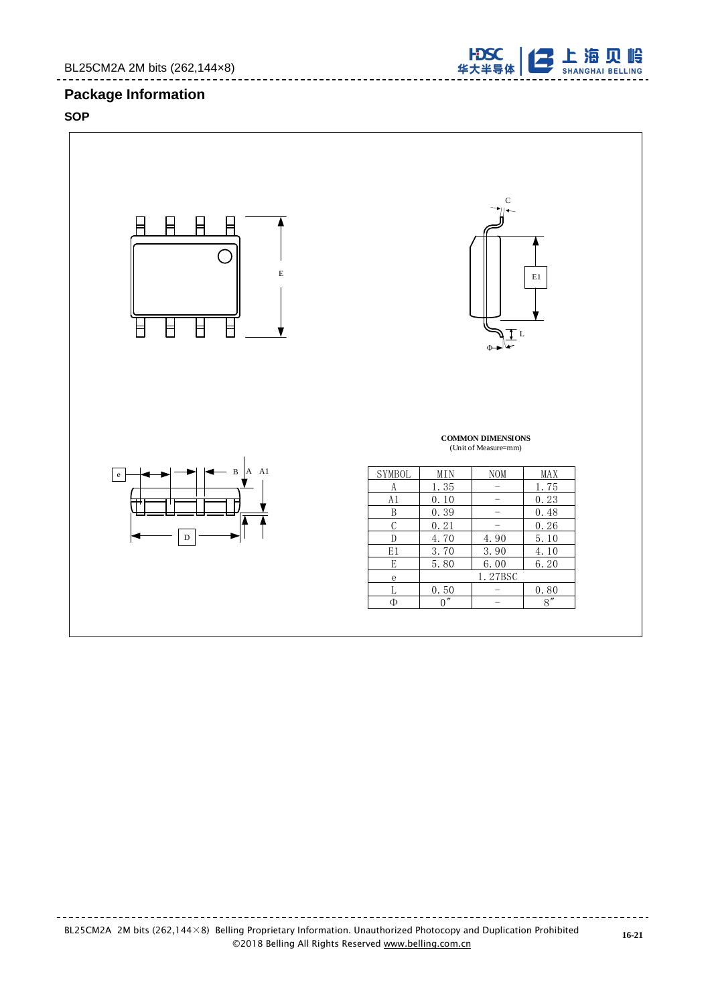# **Package Information**

# **SOP**



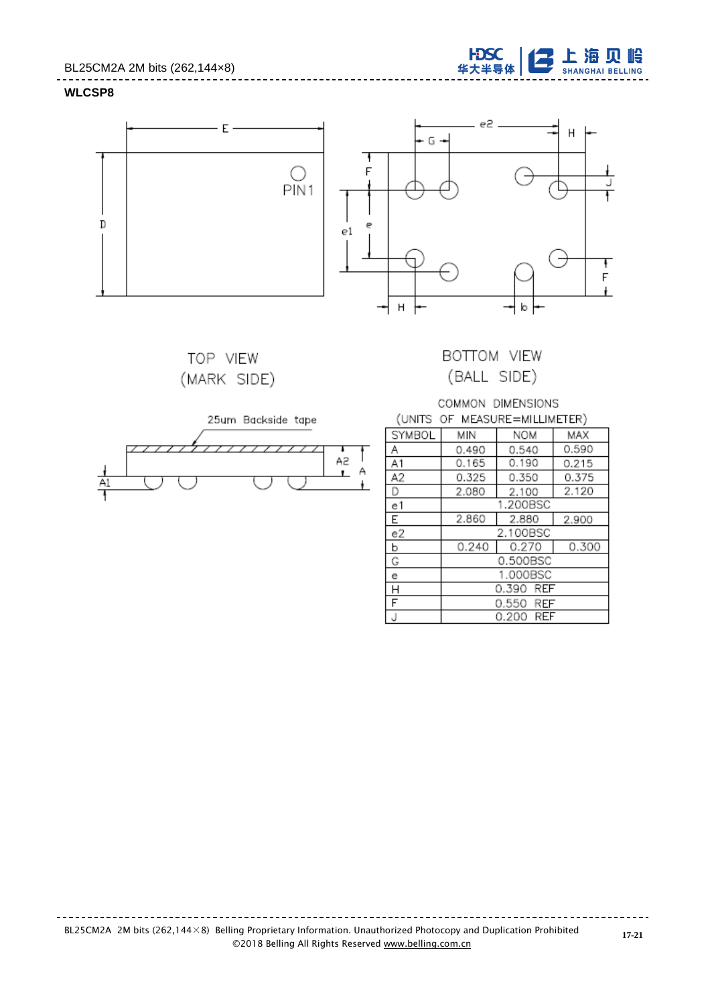## BL25CM2A 2M bits (262,144×8)





TOP VIEW (MARK SIDE)



# BOTTOM VIEW (BALL SIDE)

## COMMON DIMENSIONS (UNITS OF MEASURE=MILLIMETER)

| SYMBOL         | МIN       | <b>NOM</b>   | MAX   |  |  |
|----------------|-----------|--------------|-------|--|--|
| Α              | 0.490     | 0.540        | 0.590 |  |  |
| A1             | 0.165     | 0.190        | 0.215 |  |  |
| A2             | 0.325     | 0.350        | 0.375 |  |  |
| D              | 2.080     | 2.100        | 2.120 |  |  |
| e1             |           | 1.200BSC     |       |  |  |
| l E            | 2.860     | 2.880        | 2.900 |  |  |
| e2             | 2.100BSC  |              |       |  |  |
| $\overline{b}$ | 0.240     | 0.270        | 0.300 |  |  |
| G              |           | 0.500BSC     |       |  |  |
| e              | 1.000BSC  |              |       |  |  |
| H              | 0.390 REF |              |       |  |  |
| F              | 0.550 REF |              |       |  |  |
| J              |           | REF<br>0.200 |       |  |  |

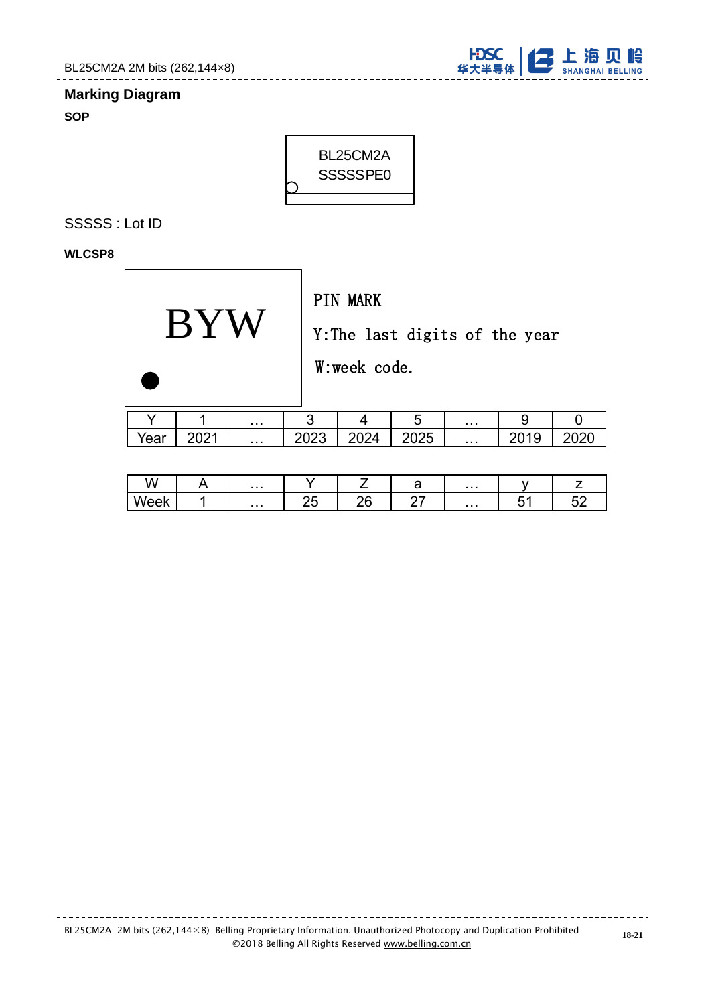

# **Marking Diagram**

**SOP**



# SSSSS : Lot ID

## **WLCSP8**

|      |      |   |      | <b>PIN MARK</b><br>W:week code. | Y: The last digits of the year |   |      |  |
|------|------|---|------|---------------------------------|--------------------------------|---|------|--|
|      |      | . | 3    |                                 | 5                              | . | 9    |  |
| Year | 2021 | . | 2023 | 2024                            | 2025                           |   | 2019 |  |

| .<br>^<br>v v     | $\sim$ $\sim$ $\sim$ |    |    | ີ         | $\sim$ 10 $\pm$ |   | -                 |
|-------------------|----------------------|----|----|-----------|-----------------|---|-------------------|
| $\mathbf{A}$<br>- | $\sim$ $\sim$ $\sim$ | -- | -- | --<br>- - | $\sim$ 10 $\pm$ | - | сc<br>-<br>ັ<br>I |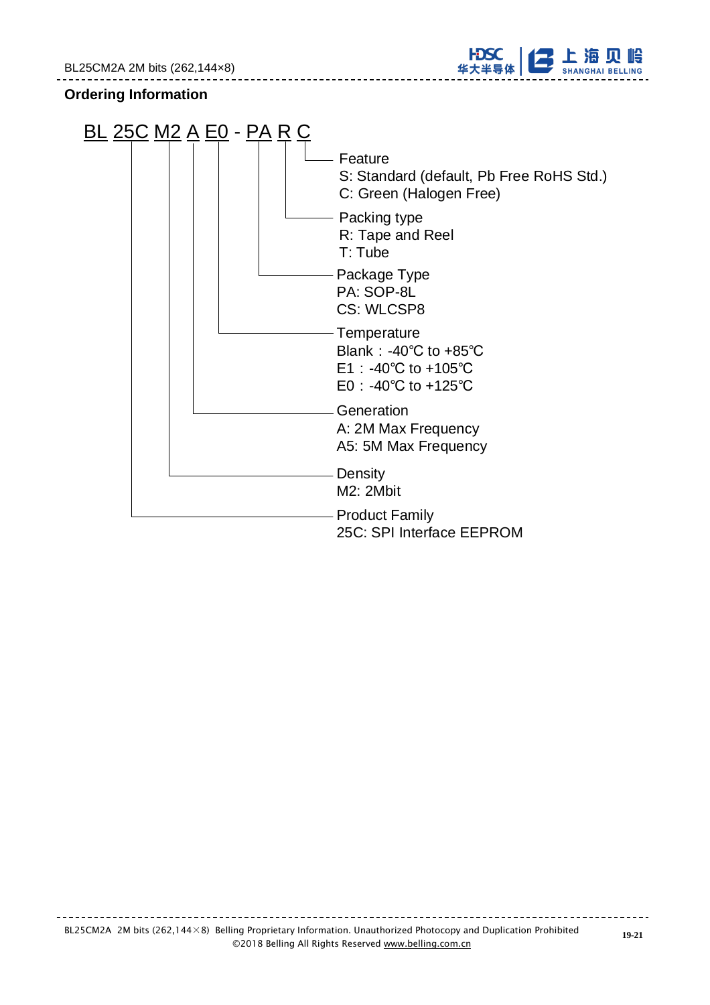

# **Ordering Information**

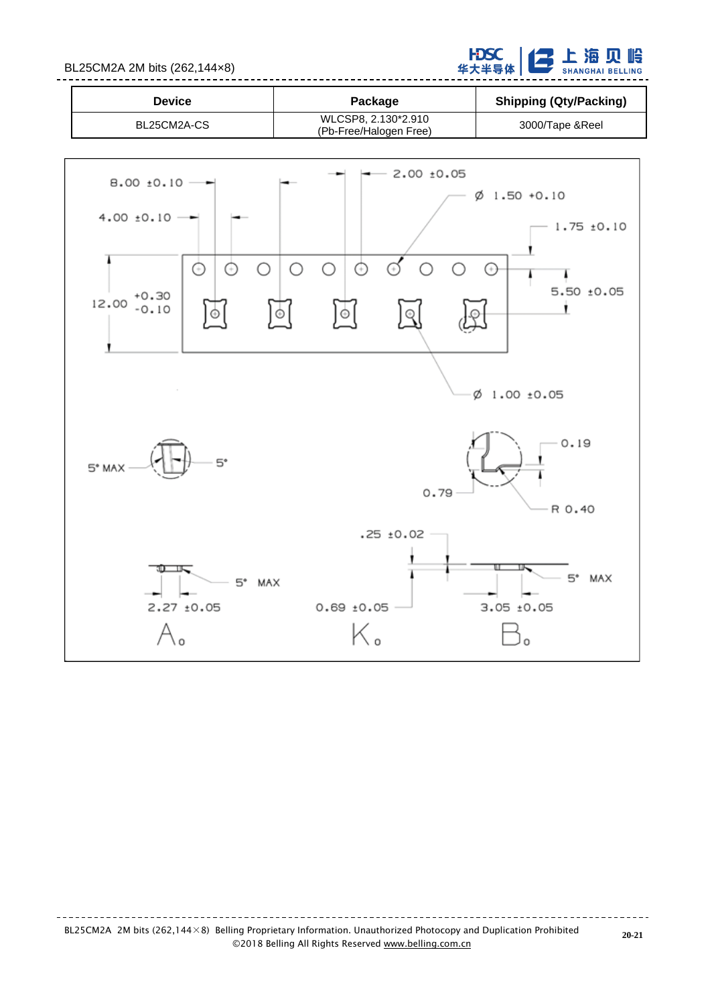BL25CM2A 2M bits (262,144×8)

**子上海贝岭 HDSC**<br>华大半导体

| Device      | Package                                       | <b>Shipping (Qty/Packing)</b> |
|-------------|-----------------------------------------------|-------------------------------|
| BL25CM2A-CS | WLCSP8, 2.130*2.910<br>(Pb-Free/Halogen Free) | 3000/Tape & Reel              |

--------------------



**20-21**